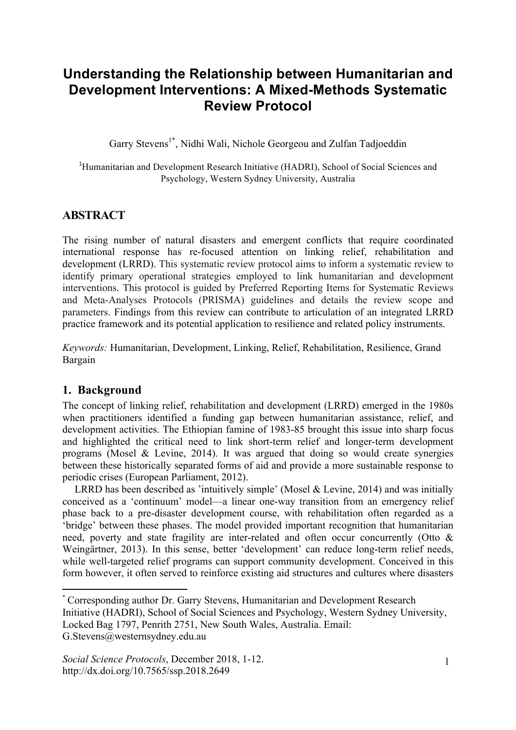# **Understanding the Relationship between Humanitarian and Development Interventions: A Mixed-Methods Systematic Review Protocol**

Garry Stevens<sup>1\*</sup>, Nidhi Wali, Nichole Georgeou and Zulfan Tadjoeddin

<sup>1</sup>Humanitarian and Development Research Initiative (HADRI), School of Social Sciences and Psychology, Western Sydney University, Australia

# **ABSTRACT**

The rising number of natural disasters and emergent conflicts that require coordinated international response has re-focused attention on linking relief, rehabilitation and development (LRRD). This systematic review protocol aims to inform a systematic review to identify primary operational strategies employed to link humanitarian and development interventions. This protocol is guided by Preferred Reporting Items for Systematic Reviews and Meta-Analyses Protocols (PRISMA) guidelines and details the review scope and parameters. Findings from this review can contribute to articulation of an integrated LRRD practice framework and its potential application to resilience and related policy instruments.

*Keywords:* Humanitarian, Development, Linking, Relief, Rehabilitation, Resilience, Grand Bargain

## **1. Background**

The concept of linking relief, rehabilitation and development (LRRD) emerged in the 1980s when practitioners identified a funding gap between humanitarian assistance, relief, and development activities. The Ethiopian famine of 1983-85 brought this issue into sharp focus and highlighted the critical need to link short-term relief and longer-term development programs (Mosel & Levine, 2014). It was argued that doing so would create synergies between these historically separated forms of aid and provide a more sustainable response to periodic crises (European Parliament, 2012).

LRRD has been described as 'intuitively simple' (Mosel & Levine, 2014) and was initially conceived as a 'continuum' model—a linear one-way transition from an emergency relief phase back to a pre-disaster development course, with rehabilitation often regarded as a 'bridge' between these phases. The model provided important recognition that humanitarian need, poverty and state fragility are inter-related and often occur concurrently (Otto & Weingärtner, 2013). In this sense, better 'development' can reduce long-term relief needs, while well-targeted relief programs can support community development. Conceived in this form however, it often served to reinforce existing aid structures and cultures where disasters

 

<sup>\*</sup> Corresponding author Dr. Garry Stevens, Humanitarian and Development Research Initiative (HADRI), School of Social Sciences and Psychology, Western Sydney University, Locked Bag 1797, Penrith 2751, New South Wales, Australia. Email: G.Stevens@westernsydney.edu.au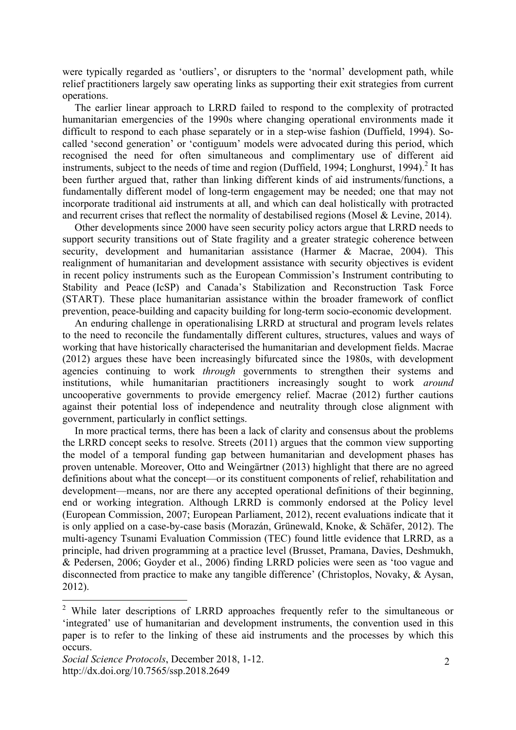were typically regarded as 'outliers', or disrupters to the 'normal' development path, while relief practitioners largely saw operating links as supporting their exit strategies from current operations.

The earlier linear approach to LRRD failed to respond to the complexity of protracted humanitarian emergencies of the 1990s where changing operational environments made it difficult to respond to each phase separately or in a step-wise fashion (Duffield, 1994). Socalled 'second generation' or 'contiguum' models were advocated during this period, which recognised the need for often simultaneous and complimentary use of different aid instruments, subject to the needs of time and region (Duffield, 1994; Longhurst, 1994). <sup>2</sup> It has been further argued that, rather than linking different kinds of aid instruments/functions, a fundamentally different model of long-term engagement may be needed; one that may not incorporate traditional aid instruments at all, and which can deal holistically with protracted and recurrent crises that reflect the normality of destabilised regions (Mosel & Levine, 2014).

Other developments since 2000 have seen security policy actors argue that LRRD needs to support security transitions out of State fragility and a greater strategic coherence between security, development and humanitarian assistance (Harmer & Macrae, 2004). This realignment of humanitarian and development assistance with security objectives is evident in recent policy instruments such as the European Commission's Instrument contributing to Stability and Peace (IcSP) and Canada's Stabilization and Reconstruction Task Force (START). These place humanitarian assistance within the broader framework of conflict prevention, peace-building and capacity building for long-term socio-economic development.

An enduring challenge in operationalising LRRD at structural and program levels relates to the need to reconcile the fundamentally different cultures, structures, values and ways of working that have historically characterised the humanitarian and development fields. Macrae (2012) argues these have been increasingly bifurcated since the 1980s, with development agencies continuing to work *through* governments to strengthen their systems and institutions, while humanitarian practitioners increasingly sought to work *around* uncooperative governments to provide emergency relief. Macrae (2012) further cautions against their potential loss of independence and neutrality through close alignment with government, particularly in conflict settings.

In more practical terms, there has been a lack of clarity and consensus about the problems the LRRD concept seeks to resolve. Streets (2011) argues that the common view supporting the model of a temporal funding gap between humanitarian and development phases has proven untenable. Moreover, Otto and Weingärtner (2013) highlight that there are no agreed definitions about what the concept—or its constituent components of relief, rehabilitation and development—means, nor are there any accepted operational definitions of their beginning, end or working integration. Although LRRD is commonly endorsed at the Policy level (European Commission, 2007; European Parliament, 2012), recent evaluations indicate that it is only applied on a case-by-case basis (Morazán, Grünewald, Knoke, & Schäfer, 2012). The multi-agency Tsunami Evaluation Commission (TEC) found little evidence that LRRD, as a principle, had driven programming at a practice level (Brusset, Pramana, Davies, Deshmukh, & Pedersen, 2006; Goyder et al., 2006) finding LRRD policies were seen as 'too vague and disconnected from practice to make any tangible difference' (Christoplos, Novaky, & Aysan, 2012).

<sup>&</sup>lt;sup>2</sup> While later descriptions of LRRD approaches frequently refer to the simultaneous or 'integrated' use of humanitarian and development instruments, the convention used in this paper is to refer to the linking of these aid instruments and the processes by which this occurs.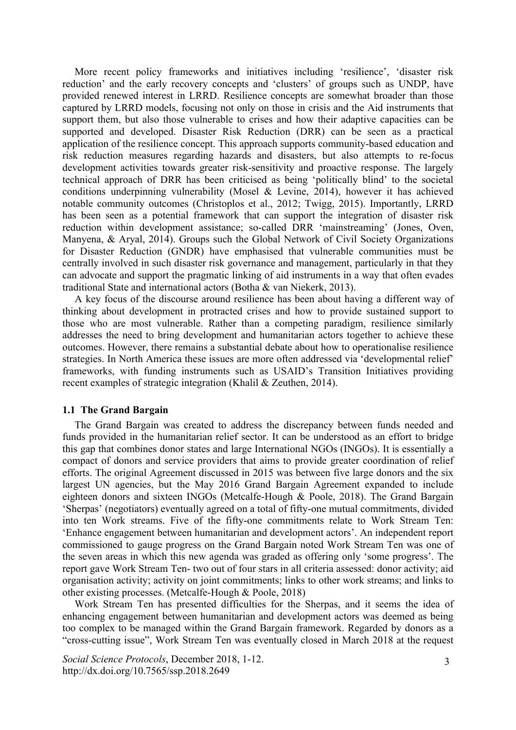More recent policy frameworks and initiatives including 'resilience', 'disaster risk reduction' and the early recovery concepts and 'clusters' of groups such as UNDP, have provided renewed interest in LRRD. Resilience concepts are somewhat broader than those captured by LRRD models, focusing not only on those in crisis and the Aid instruments that support them, but also those vulnerable to crises and how their adaptive capacities can be supported and developed. Disaster Risk Reduction (DRR) can be seen as a practical application of the resilience concept. This approach supports community-based education and risk reduction measures regarding hazards and disasters, but also attempts to re-focus development activities towards greater risk-sensitivity and proactive response. The largely technical approach of DRR has been criticised as being 'politically blind' to the societal conditions underpinning vulnerability (Mosel & Levine, 2014), however it has achieved notable community outcomes (Christoplos et al., 2012; Twigg, 2015). Importantly, LRRD has been seen as a potential framework that can support the integration of disaster risk reduction within development assistance; so-called DRR 'mainstreaming' (Jones, Oven, Manyena, & Aryal, 2014). Groups such the Global Network of Civil Society Organizations for Disaster Reduction (GNDR) have emphasised that vulnerable communities must be centrally involved in such disaster risk governance and management, particularly in that they can advocate and support the pragmatic linking of aid instruments in a way that often evades traditional State and international actors (Botha & van Niekerk, 2013).

A key focus of the discourse around resilience has been about having a different way of thinking about development in protracted crises and how to provide sustained support to those who are most vulnerable. Rather than a competing paradigm, resilience similarly addresses the need to bring development and humanitarian actors together to achieve these outcomes. However, there remains a substantial debate about how to operationalise resilience strategies. In North America these issues are more often addressed via 'developmental relief' frameworks, with funding instruments such as USAID's Transition Initiatives providing recent examples of strategic integration (Khalil & Zeuthen, 2014).

#### **1.1 The Grand Bargain**

The Grand Bargain was created to address the discrepancy between funds needed and funds provided in the humanitarian relief sector. It can be understood as an effort to bridge this gap that combines donor states and large International NGOs (INGOs). It is essentially a compact of donors and service providers that aims to provide greater coordination of relief efforts. The original Agreement discussed in 2015 was between five large donors and the six largest UN agencies, but the May 2016 Grand Bargain Agreement expanded to include eighteen donors and sixteen INGOs (Metcalfe-Hough & Poole, 2018). The Grand Bargain 'Sherpas' (negotiators) eventually agreed on a total of fifty-one mutual commitments, divided into ten Work streams. Five of the fifty-one commitments relate to Work Stream Ten: 'Enhance engagement between humanitarian and development actors'. An independent report commissioned to gauge progress on the Grand Bargain noted Work Stream Ten was one of the seven areas in which this new agenda was graded as offering only 'some progress'. The report gave Work Stream Ten- two out of four stars in all criteria assessed: donor activity; aid organisation activity; activity on joint commitments; links to other work streams; and links to other existing processes. (Metcalfe-Hough & Poole, 2018)

Work Stream Ten has presented difficulties for the Sherpas, and it seems the idea of enhancing engagement between humanitarian and development actors was deemed as being too complex to be managed within the Grand Bargain framework. Regarded by donors as a "cross-cutting issue", Work Stream Ten was eventually closed in March 2018 at the request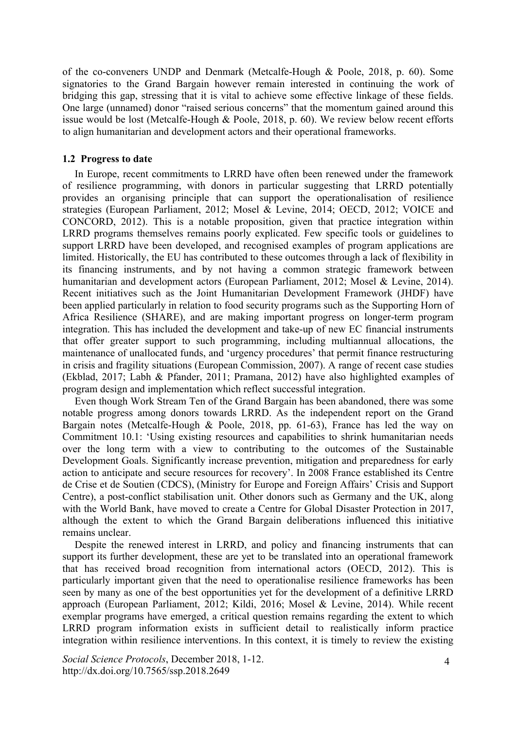of the co-conveners UNDP and Denmark (Metcalfe-Hough & Poole, 2018, p. 60). Some signatories to the Grand Bargain however remain interested in continuing the work of bridging this gap, stressing that it is vital to achieve some effective linkage of these fields. One large (unnamed) donor "raised serious concerns" that the momentum gained around this issue would be lost (Metcalfe-Hough & Poole, 2018, p. 60). We review below recent efforts to align humanitarian and development actors and their operational frameworks.

#### **1.2 Progress to date**

In Europe, recent commitments to LRRD have often been renewed under the framework of resilience programming, with donors in particular suggesting that LRRD potentially provides an organising principle that can support the operationalisation of resilience strategies (European Parliament, 2012; Mosel & Levine, 2014; OECD, 2012; VOICE and CONCORD, 2012). This is a notable proposition, given that practice integration within LRRD programs themselves remains poorly explicated. Few specific tools or guidelines to support LRRD have been developed, and recognised examples of program applications are limited. Historically, the EU has contributed to these outcomes through a lack of flexibility in its financing instruments, and by not having a common strategic framework between humanitarian and development actors (European Parliament, 2012; Mosel & Levine, 2014). Recent initiatives such as the Joint Humanitarian Development Framework (JHDF) have been applied particularly in relation to food security programs such as the Supporting Horn of Africa Resilience (SHARE), and are making important progress on longer-term program integration. This has included the development and take-up of new EC financial instruments that offer greater support to such programming, including multiannual allocations, the maintenance of unallocated funds, and 'urgency procedures' that permit finance restructuring in crisis and fragility situations (European Commission, 2007). A range of recent case studies (Ekblad, 2017; Labh & Pfander, 2011; Pramana, 2012) have also highlighted examples of program design and implementation which reflect successful integration.

Even though Work Stream Ten of the Grand Bargain has been abandoned, there was some notable progress among donors towards LRRD. As the independent report on the Grand Bargain notes (Metcalfe-Hough & Poole, 2018, pp. 61-63), France has led the way on Commitment 10.1: 'Using existing resources and capabilities to shrink humanitarian needs over the long term with a view to contributing to the outcomes of the Sustainable Development Goals. Significantly increase prevention, mitigation and preparedness for early action to anticipate and secure resources for recovery'. In 2008 France established its Centre de Crise et de Soutien (CDCS), (Ministry for Europe and Foreign Affairs' Crisis and Support Centre), a post-conflict stabilisation unit. Other donors such as Germany and the UK, along with the World Bank, have moved to create a Centre for Global Disaster Protection in 2017, although the extent to which the Grand Bargain deliberations influenced this initiative remains unclear.

Despite the renewed interest in LRRD, and policy and financing instruments that can support its further development, these are yet to be translated into an operational framework that has received broad recognition from international actors (OECD, 2012). This is particularly important given that the need to operationalise resilience frameworks has been seen by many as one of the best opportunities yet for the development of a definitive LRRD approach (European Parliament, 2012; Kildi, 2016; Mosel & Levine, 2014). While recent exemplar programs have emerged, a critical question remains regarding the extent to which LRRD program information exists in sufficient detail to realistically inform practice integration within resilience interventions. In this context, it is timely to review the existing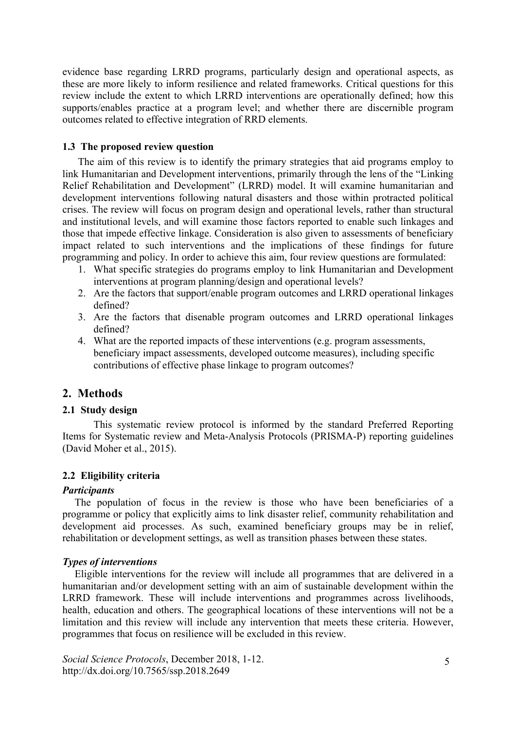evidence base regarding LRRD programs, particularly design and operational aspects, as these are more likely to inform resilience and related frameworks. Critical questions for this review include the extent to which LRRD interventions are operationally defined; how this supports/enables practice at a program level; and whether there are discernible program outcomes related to effective integration of RRD elements.

#### **1.3 The proposed review question**

The aim of this review is to identify the primary strategies that aid programs employ to link Humanitarian and Development interventions, primarily through the lens of the "Linking Relief Rehabilitation and Development" (LRRD) model. It will examine humanitarian and development interventions following natural disasters and those within protracted political crises. The review will focus on program design and operational levels, rather than structural and institutional levels, and will examine those factors reported to enable such linkages and those that impede effective linkage. Consideration is also given to assessments of beneficiary impact related to such interventions and the implications of these findings for future programming and policy. In order to achieve this aim, four review questions are formulated:

- 1. What specific strategies do programs employ to link Humanitarian and Development interventions at program planning/design and operational levels?
- 2. Are the factors that support/enable program outcomes and LRRD operational linkages defined?
- 3. Are the factors that disenable program outcomes and LRRD operational linkages defined?
- 4. What are the reported impacts of these interventions (e.g. program assessments, beneficiary impact assessments, developed outcome measures), including specific contributions of effective phase linkage to program outcomes?

# **2. Methods**

## **2.1 Study design**

This systematic review protocol is informed by the standard Preferred Reporting Items for Systematic review and Meta-Analysis Protocols (PRISMA-P) reporting guidelines (David Moher et al., 2015).

## **2.2 Eligibility criteria**

#### *Participants*

The population of focus in the review is those who have been beneficiaries of a programme or policy that explicitly aims to link disaster relief, community rehabilitation and development aid processes. As such, examined beneficiary groups may be in relief, rehabilitation or development settings, as well as transition phases between these states.

## *Types of interventions*

Eligible interventions for the review will include all programmes that are delivered in a humanitarian and/or development setting with an aim of sustainable development within the LRRD framework. These will include interventions and programmes across livelihoods, health, education and others. The geographical locations of these interventions will not be a limitation and this review will include any intervention that meets these criteria. However, programmes that focus on resilience will be excluded in this review.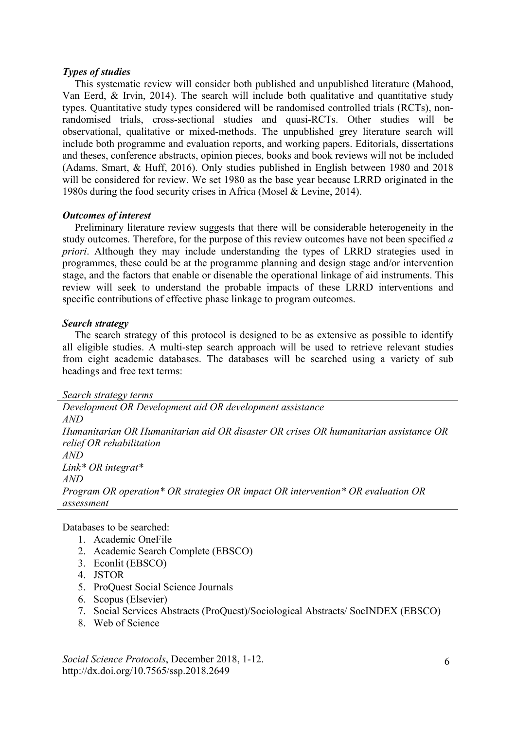#### *Types of studies*

This systematic review will consider both published and unpublished literature (Mahood, Van Eerd, & Irvin, 2014). The search will include both qualitative and quantitative study types. Quantitative study types considered will be randomised controlled trials (RCTs), nonrandomised trials, cross-sectional studies and quasi-RCTs. Other studies will be observational, qualitative or mixed-methods. The unpublished grey literature search will include both programme and evaluation reports, and working papers. Editorials, dissertations and theses, conference abstracts, opinion pieces, books and book reviews will not be included (Adams, Smart, & Huff, 2016). Only studies published in English between 1980 and 2018 will be considered for review. We set 1980 as the base year because LRRD originated in the 1980s during the food security crises in Africa (Mosel & Levine, 2014).

#### *Outcomes of interest*

Preliminary literature review suggests that there will be considerable heterogeneity in the study outcomes. Therefore, for the purpose of this review outcomes have not been specified *a priori*. Although they may include understanding the types of LRRD strategies used in programmes, these could be at the programme planning and design stage and/or intervention stage, and the factors that enable or disenable the operational linkage of aid instruments. This review will seek to understand the probable impacts of these LRRD interventions and specific contributions of effective phase linkage to program outcomes.

#### *Search strategy*

The search strategy of this protocol is designed to be as extensive as possible to identify all eligible studies. A multi-step search approach will be used to retrieve relevant studies from eight academic databases. The databases will be searched using a variety of sub headings and free text terms:

*Search strategy terms*

*Development OR Development aid OR development assistance AND Humanitarian OR Humanitarian aid OR disaster OR crises OR humanitarian assistance OR relief OR rehabilitation AND Link\* OR integrat\* AND Program OR operation\* OR strategies OR impact OR intervention\* OR evaluation OR assessment*

Databases to be searched:

- 1. Academic OneFile
- 2. Academic Search Complete (EBSCO)
- 3. Econlit (EBSCO)
- 4. JSTOR
- 5. ProQuest Social Science Journals
- 6. Scopus (Elsevier)
- 7. Social Services Abstracts (ProQuest)/Sociological Abstracts/ SocINDEX (EBSCO)
- 8. Web of Science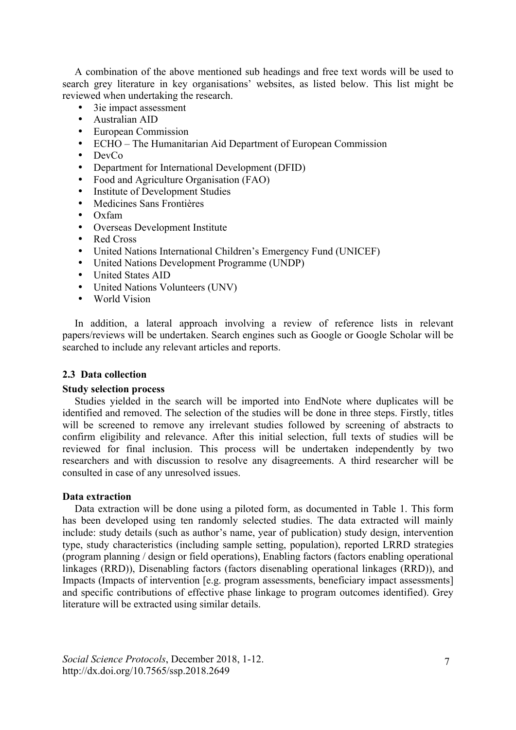A combination of the above mentioned sub headings and free text words will be used to search grey literature in key organisations' websites, as listed below. This list might be reviewed when undertaking the research.

- 3ie impact assessment
- Australian AID<br>• European Comr
- European Commission
- ECHO The Humanitarian Aid Department of European Commission
- DevCo<br>• Departr
- Department for International Development (DFID)
- Food and Agriculture Organisation (FAO)
- Institute of Development Studies
- Medicines Sans Frontières
- Oxfam
- Overseas Development Institute
- Red Cross
- United Nations International Children's Emergency Fund (UNICEF)
- United Nations Development Programme (UNDP)
- United States AID
- United Nations Volunteers (UNV)
- World Vision

In addition, a lateral approach involving a review of reference lists in relevant papers/reviews will be undertaken. Search engines such as Google or Google Scholar will be searched to include any relevant articles and reports.

#### **2.3 Data collection**

#### **Study selection process**

Studies yielded in the search will be imported into EndNote where duplicates will be identified and removed. The selection of the studies will be done in three steps. Firstly, titles will be screened to remove any irrelevant studies followed by screening of abstracts to confirm eligibility and relevance. After this initial selection, full texts of studies will be reviewed for final inclusion. This process will be undertaken independently by two researchers and with discussion to resolve any disagreements. A third researcher will be consulted in case of any unresolved issues.

#### **Data extraction**

Data extraction will be done using a piloted form, as documented in Table 1. This form has been developed using ten randomly selected studies. The data extracted will mainly include: study details (such as author's name, year of publication) study design, intervention type, study characteristics (including sample setting, population), reported LRRD strategies (program planning / design or field operations), Enabling factors (factors enabling operational linkages (RRD)), Disenabling factors (factors disenabling operational linkages (RRD)), and Impacts (Impacts of intervention [e.g. program assessments, beneficiary impact assessments] and specific contributions of effective phase linkage to program outcomes identified). Grey literature will be extracted using similar details.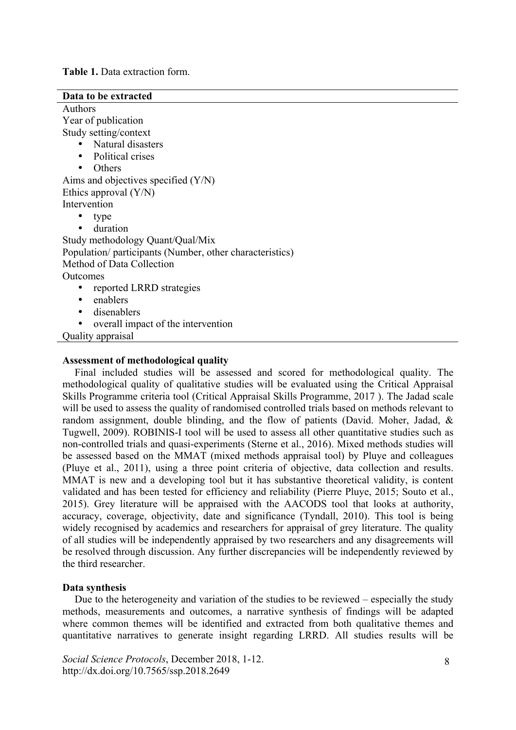**Table 1.** Data extraction form.

| Data to be extracted                                     |
|----------------------------------------------------------|
| <b>Authors</b>                                           |
| Year of publication                                      |
| Study setting/context                                    |
| Natural disasters                                        |
| Political crises                                         |
| Others                                                   |
| Aims and objectives specified $(Y/N)$                    |
| Ethics approval $(Y/N)$                                  |
| Intervention                                             |
| type                                                     |
| duration                                                 |
| Study methodology Quant/Qual/Mix                         |
| Population/ participants (Number, other characteristics) |
| Method of Data Collection                                |
| Outcomes                                                 |
| reported LRRD strategies                                 |
| enablers<br>٠                                            |
| disenablers<br>٠                                         |
| overall impact of the intervention                       |
| Quality appraisal                                        |
|                                                          |

#### **Assessment of methodological quality**

Final included studies will be assessed and scored for methodological quality. The methodological quality of qualitative studies will be evaluated using the Critical Appraisal Skills Programme criteria tool (Critical Appraisal Skills Programme, 2017 ). The Jadad scale will be used to assess the quality of randomised controlled trials based on methods relevant to random assignment, double blinding, and the flow of patients (David. Moher, Jadad, & Tugwell, 2009). ROBINIS-I tool will be used to assess all other quantitative studies such as non-controlled trials and quasi-experiments (Sterne et al., 2016). Mixed methods studies will be assessed based on the MMAT (mixed methods appraisal tool) by Pluye and colleagues (Pluye et al., 2011), using a three point criteria of objective, data collection and results. MMAT is new and a developing tool but it has substantive theoretical validity, is content validated and has been tested for efficiency and reliability (Pierre Pluye, 2015; Souto et al., 2015). Grey literature will be appraised with the AACODS tool that looks at authority, accuracy, coverage, objectivity, date and significance (Tyndall, 2010). This tool is being widely recognised by academics and researchers for appraisal of grey literature. The quality of all studies will be independently appraised by two researchers and any disagreements will be resolved through discussion. Any further discrepancies will be independently reviewed by the third researcher.

#### **Data synthesis**

Due to the heterogeneity and variation of the studies to be reviewed – especially the study methods, measurements and outcomes, a narrative synthesis of findings will be adapted where common themes will be identified and extracted from both qualitative themes and quantitative narratives to generate insight regarding LRRD. All studies results will be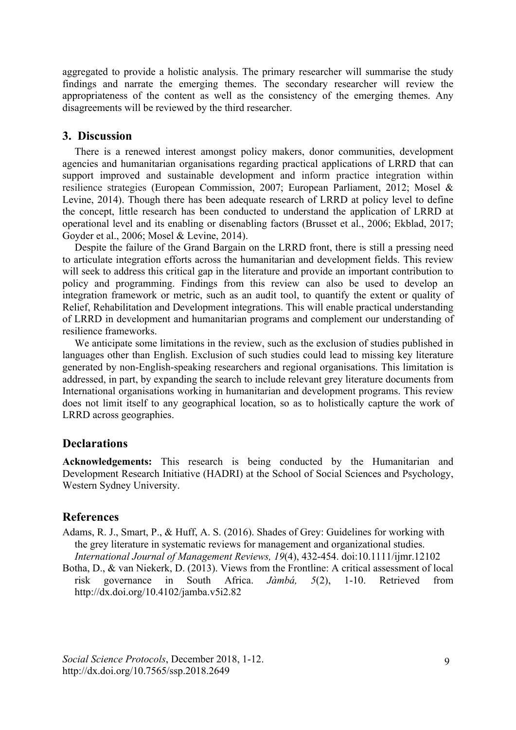aggregated to provide a holistic analysis. The primary researcher will summarise the study findings and narrate the emerging themes. The secondary researcher will review the appropriateness of the content as well as the consistency of the emerging themes. Any disagreements will be reviewed by the third researcher.

## **3. Discussion**

There is a renewed interest amongst policy makers, donor communities, development agencies and humanitarian organisations regarding practical applications of LRRD that can support improved and sustainable development and inform practice integration within resilience strategies (European Commission, 2007; European Parliament, 2012; Mosel & Levine, 2014). Though there has been adequate research of LRRD at policy level to define the concept, little research has been conducted to understand the application of LRRD at operational level and its enabling or disenabling factors (Brusset et al., 2006; Ekblad, 2017; Goyder et al., 2006; Mosel & Levine, 2014).

Despite the failure of the Grand Bargain on the LRRD front, there is still a pressing need to articulate integration efforts across the humanitarian and development fields. This review will seek to address this critical gap in the literature and provide an important contribution to policy and programming. Findings from this review can also be used to develop an integration framework or metric, such as an audit tool, to quantify the extent or quality of Relief, Rehabilitation and Development integrations. This will enable practical understanding of LRRD in development and humanitarian programs and complement our understanding of resilience frameworks.

We anticipate some limitations in the review, such as the exclusion of studies published in languages other than English. Exclusion of such studies could lead to missing key literature generated by non-English-speaking researchers and regional organisations. This limitation is addressed, in part, by expanding the search to include relevant grey literature documents from International organisations working in humanitarian and development programs. This review does not limit itself to any geographical location, so as to holistically capture the work of LRRD across geographies.

# **Declarations**

**Acknowledgements:** This research is being conducted by the Humanitarian and Development Research Initiative (HADRI) at the School of Social Sciences and Psychology, Western Sydney University.

# **References**

- Adams, R. J., Smart, P., & Huff, A. S. (2016). Shades of Grey: Guidelines for working with the grey literature in systematic reviews for management and organizational studies. *International Journal of Management Reviews, 19*(4), 432-454. doi:10.1111/ijmr.12102
- Botha, D., & van Niekerk, D. (2013). Views from the Frontline: A critical assessment of local risk governance in South Africa. *Jàmbá, 5*(2), 1-10. Retrieved from http://dx.doi.org/10.4102/jamba.v5i2.82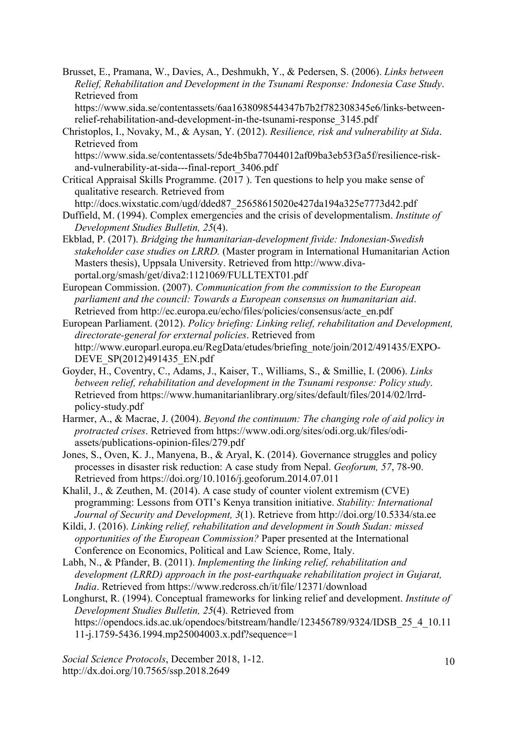Brusset, E., Pramana, W., Davies, A., Deshmukh, Y., & Pedersen, S. (2006). *Links between Relief, Rehabilitation and Development in the Tsunami Response: Indonesia Case Study*. Retrieved from

https://www.sida.se/contentassets/6aa1638098544347b7b2f782308345e6/links-betweenrelief-rehabilitation-and-development-in-the-tsunami-response\_3145.pdf

Christoplos, I., Novaky, M., & Aysan, Y. (2012). *Resilience, risk and vulnerability at Sida*. Retrieved from

https://www.sida.se/contentassets/5de4b5ba77044012af09ba3eb53f3a5f/resilience-riskand-vulnerability-at-sida---final-report\_3406.pdf

Critical Appraisal Skills Programme. (2017 ). Ten questions to help you make sense of qualitative research. Retrieved from

http://docs.wixstatic.com/ugd/dded87\_25658615020e427da194a325e7773d42.pdf

Duffield, M. (1994). Complex emergencies and the crisis of developmentalism. *Institute of Development Studies Bulletin, 25*(4).

Ekblad, P. (2017). *Bridging the humanitarian-development fivide: Indonesian-Swedish stakeholder case studies on LRRD.* (Master program in International Humanitarian Action Masters thesis), Uppsala University. Retrieved from http://www.divaportal.org/smash/get/diva2:1121069/FULLTEXT01.pdf

European Commission. (2007). *Communication from the commission to the European parliament and the council: Towards a European consensus on humanitarian aid*. Retrieved from http://ec.europa.eu/echo/files/policies/consensus/acte\_en.pdf

European Parliament. (2012). *Policy briefing: Linking relief, rehabilitation and Development, directorate-general for erxternal policies*. Retrieved from http://www.europarl.europa.eu/RegData/etudes/briefing\_note/join/2012/491435/EXPO-DEVE\_SP(2012)491435\_EN.pdf

Goyder, H., Coventry, C., Adams, J., Kaiser, T., Williams, S., & Smillie, I. (2006). *Links between relief, rehabilitation and development in the Tsunami response: Policy study*. Retrieved from https://www.humanitarianlibrary.org/sites/default/files/2014/02/lrrdpolicy-study.pdf

Harmer, A., & Macrae, J. (2004). *Beyond the continuum: The changing role of aid policy in protracted crises*. Retrieved from https://www.odi.org/sites/odi.org.uk/files/odiassets/publications-opinion-files/279.pdf

Jones, S., Oven, K. J., Manyena, B., & Aryal, K. (2014). Governance struggles and policy processes in disaster risk reduction: A case study from Nepal. *Geoforum, 57*, 78-90. Retrieved from https://doi.org/10.1016/j.geoforum.2014.07.011

Khalil, J., & Zeuthen, M. (2014). A case study of counter violent extremism (CVE) programming: Lessons from OTI's Kenya transition initiative. *Stability: International Journal of Security and Development, 3*(1). Retrieve from http://doi.org/10.5334/sta.ee

Kildi, J. (2016). *Linking relief, rehabilitation and development in South Sudan: missed opportunities of the European Commission?* Paper presented at the International Conference on Economics, Political and Law Science, Rome, Italy.

Labh, N., & Pfander, B. (2011). *Implementing the linking relief, rehabilitation and development (LRRD) approach in the post-earthquake rehabilitation project in Gujarat, India*. Retrieved from https://www.redcross.ch/it/file/12371/download

Longhurst, R. (1994). Conceptual frameworks for linking relief and development. *Institute of Development Studies Bulletin, 25*(4). Retrieved from https://opendocs.ids.ac.uk/opendocs/bitstream/handle/123456789/9324/IDSB\_25\_4\_10.11 11-j.1759-5436.1994.mp25004003.x.pdf?sequence=1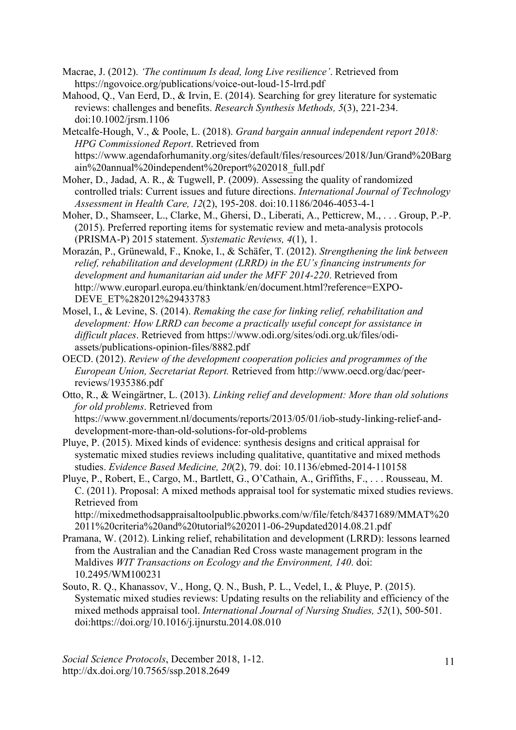- Macrae, J. (2012). *'The continuum Is dead, long Live resilience'*. Retrieved from https://ngovoice.org/publications/voice-out-loud-15-lrrd.pdf
- Mahood, Q., Van Eerd, D., & Irvin, E. (2014). Searching for grey literature for systematic reviews: challenges and benefits. *Research Synthesis Methods, 5*(3), 221-234. doi:10.1002/jrsm.1106
- Metcalfe-Hough, V., & Poole, L. (2018). *Grand bargain annual independent report 2018: HPG Commissioned Report*. Retrieved from https://www.agendaforhumanity.org/sites/default/files/resources/2018/Jun/Grand%20Barg ain%20annual%20independent%20report%202018\_full.pdf
- Moher, D., Jadad, A. R., & Tugwell, P. (2009). Assessing the quality of randomized controlled trials: Current issues and future directions. *International Journal of Technology Assessment in Health Care, 12*(2), 195-208. doi:10.1186/2046-4053-4-1
- Moher, D., Shamseer, L., Clarke, M., Ghersi, D., Liberati, A., Petticrew, M., . . . Group, P.-P. (2015). Preferred reporting items for systematic review and meta-analysis protocols (PRISMA-P) 2015 statement. *Systematic Reviews, 4*(1), 1.
- Morazán, P., Grünewald, F., Knoke, I., & Schäfer, T. (2012). *Strengthening the link between relief, rehabilitation and development (LRRD) in the EU's financing instruments for development and humanitarian aid under the MFF 2014-220*. Retrieved from http://www.europarl.europa.eu/thinktank/en/document.html?reference=EXPO-DEVE\_ET%282012%29433783
- Mosel, I., & Levine, S. (2014). *Remaking the case for linking relief, rehabilitation and development: How LRRD can become a practically useful concept for assistance in difficult places*. Retrieved from https://www.odi.org/sites/odi.org.uk/files/odiassets/publications-opinion-files/8882.pdf
- OECD. (2012). *Review of the development cooperation policies and programmes of the European Union, Secretariat Report.* Retrieved from http://www.oecd.org/dac/peerreviews/1935386.pdf
- Otto, R., & Weingärtner, L. (2013). *Linking relief and development: More than old solutions for old problems*. Retrieved from https://www.government.nl/documents/reports/2013/05/01/iob-study-linking-relief-anddevelopment-more-than-old-solutions-for-old-problems
- Pluye, P. (2015). Mixed kinds of evidence: synthesis designs and critical appraisal for systematic mixed studies reviews including qualitative, quantitative and mixed methods studies. *Evidence Based Medicine, 20*(2), 79. doi: 10.1136/ebmed-2014-110158
- Pluye, P., Robert, E., Cargo, M., Bartlett, G., O'Cathain, A., Griffiths, F., . . . Rousseau, M. C. (2011). Proposal: A mixed methods appraisal tool for systematic mixed studies reviews. Retrieved from

http://mixedmethodsappraisaltoolpublic.pbworks.com/w/file/fetch/84371689/MMAT%20 2011%20criteria%20and%20tutorial%202011-06-29updated2014.08.21.pdf

- Pramana, W. (2012). Linking relief, rehabilitation and development (LRRD): lessons learned from the Australian and the Canadian Red Cross waste management program in the Maldives *WIT Transactions on Ecology and the Environment, 140*. doi: 10.2495/WM100231
- Souto, R. Q., Khanassov, V., Hong, Q. N., Bush, P. L., Vedel, I., & Pluye, P. (2015). Systematic mixed studies reviews: Updating results on the reliability and efficiency of the mixed methods appraisal tool. *International Journal of Nursing Studies, 52*(1), 500-501. doi:https://doi.org/10.1016/j.ijnurstu.2014.08.010